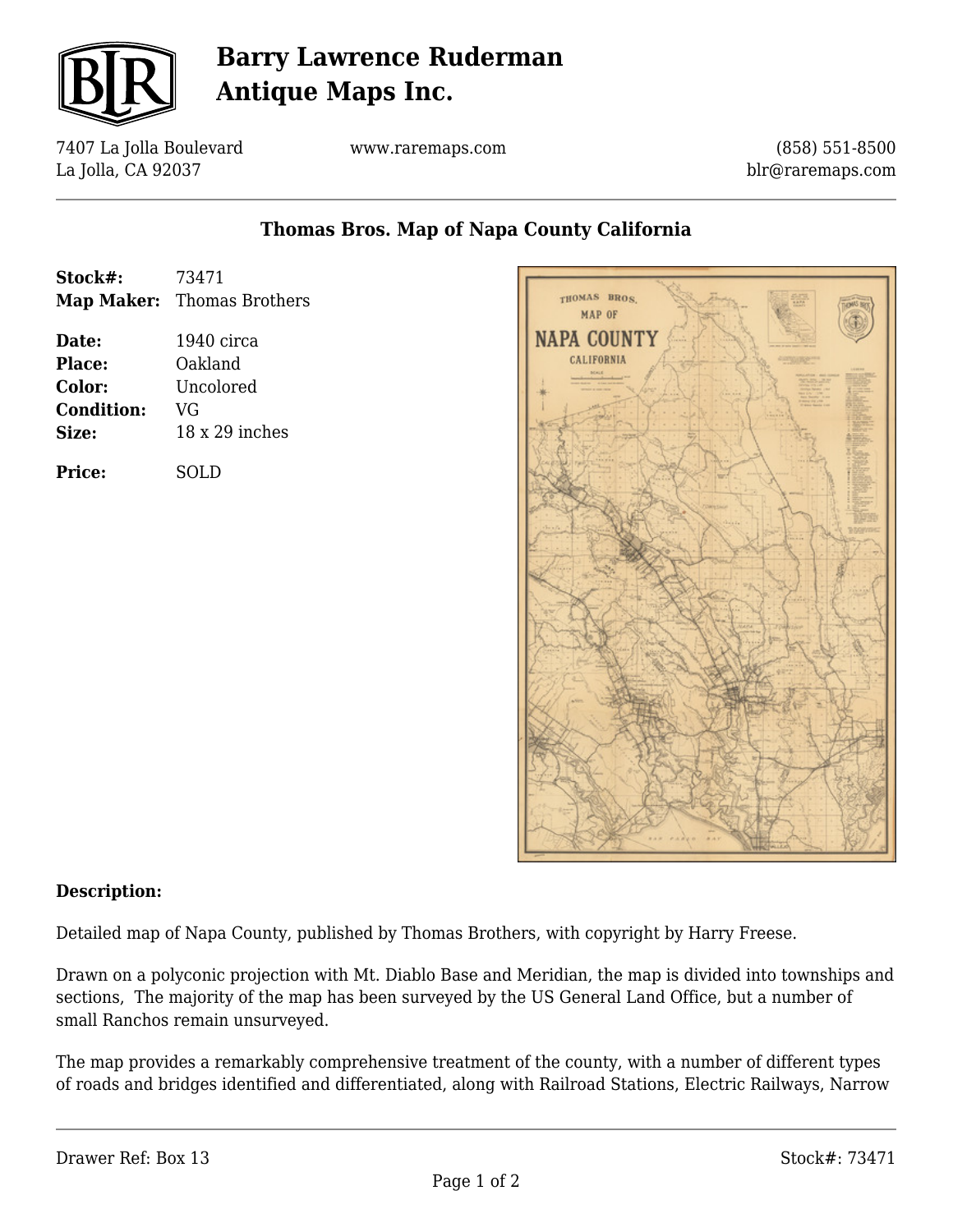

## **Barry Lawrence Ruderman Antique Maps Inc.**

7407 La Jolla Boulevard La Jolla, CA 92037

www.raremaps.com

(858) 551-8500 blr@raremaps.com

### **Thomas Bros. Map of Napa County California**

| Stock#: | 73471                      |
|---------|----------------------------|
|         | Map Maker: Thomas Brothers |

**Date:** 1940 circa **Place:** Oakland **Color:** Uncolored **Condition:** VG **Size:** 18 x 29 inches

**Price:** SOLD



#### **Description:**

Detailed map of Napa County, published by Thomas Brothers, with copyright by Harry Freese.

Drawn on a polyconic projection with Mt. Diablo Base and Meridian, the map is divided into townships and sections, The majority of the map has been surveyed by the US General Land Office, but a number of small Ranchos remain unsurveyed.

The map provides a remarkably comprehensive treatment of the county, with a number of different types of roads and bridges identified and differentiated, along with Railroad Stations, Electric Railways, Narrow